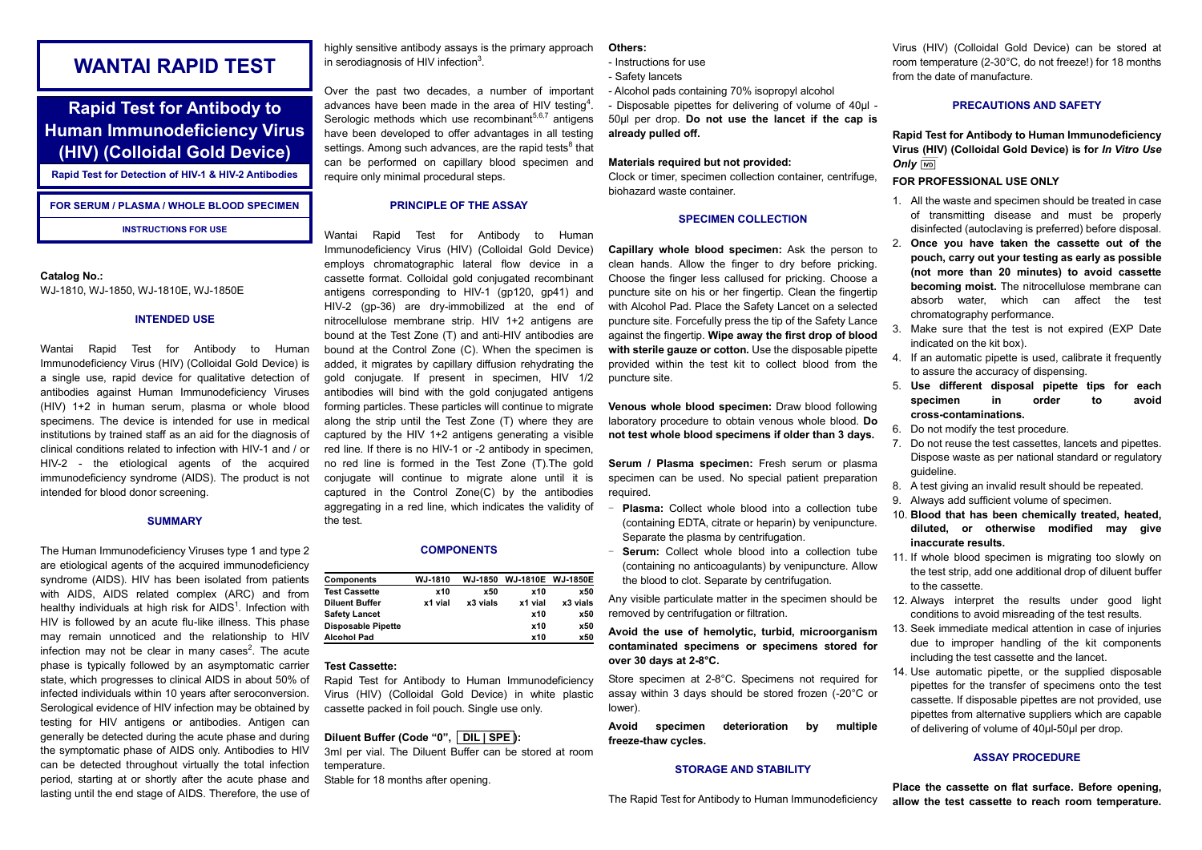# **WANTAI RAPID TEST**

# **Rapid Test for Antibody to Human Immunodeficiency Virus (HIV) (Colloidal Gold Device)**

**Rapid Test for Detection of HIV-1 & HIV-2 Antibodies**

# **FOR SERUM / PLASMA / WHOLE BLOOD SPECIMEN**

**INSTRUCTIONS FOR USE**

#### **Catalog No.:** WJ-1810, WJ-1850, WJ-1810E, WJ-1850E

#### **INTENDED USE**

Wantai Rapid Test for Antibody to Human Immunodeficiency Virus (HIV) (Colloidal Gold Device) is a single use, rapid device for qualitative detection of antibodies against Human Immunodeficiency Viruses (HIV) 1+2 in human serum, plasma or whole blood specimens. The device is intended for use in medical institutions by trained staff as an aid for the diagnosis of clinical conditions related to infection with HIV-1 and / or HIV-2 - the etiological agents of the acquired immunodeficiency syndrome (AIDS). The product is not intended for blood donor screening.

#### **SUMMARY**

The Human Immunodeficiency Viruses type 1 and type 2 are etiological agents of the acquired immunodeficiency syndrome (AIDS). HIV has been isolated from patients with AIDS, AIDS related complex (ARC) and from healthy individuals at high risk for AIDS<sup>1</sup>. Infection with HIV is followed by an acute flu-like illness. This phase may remain unnoticed and the relationship to HIV infection may not be clear in many cases $^2$ . The acute phase is typically followed by an asymptomatic carrier state, which progresses to clinical AIDS in about 50% of infected individuals within 10 years after seroconversion. Serological evidence of HIV infection may be obtained by testing for HIV antigens or antibodies. Antigen can generally be detected during the acute phase and during the symptomatic phase of AIDS only. Antibodies to HIV can be detected throughout virtually the total infection period, starting at or shortly after the acute phase and lasting until the end stage of AIDS. Therefore, the use of

highly sensitive antibody assays is the primary approach in serodiagnosis of HIV infection $^3$ .

Over the past two decades, a number of important advances have been made in the area of HIV testing<sup>4</sup>. Serologic methods which use recombinant $5,6,7$  antigens have been developed to offer advantages in all testing settings. Among such advances, are the rapid tests $8$  that can be performed on capillary blood specimen and require only minimal procedural steps.

# **PRINCIPLE OF THE ASSAY**

Wantai Rapid Test for Antibody to Human Immunodeficiency Virus (HIV) (Colloidal Gold Device) employs chromatographic lateral flow device in a cassette format. Colloidal gold conjugated recombinant antigens corresponding to HIV-1 (gp120, gp41) and HIV-2 (gp-36) are dry-immobilized at the end of nitrocellulose membrane strip. HIV 1+2 antigens are bound at the Test Zone (T) and anti-HIV antibodies are bound at the Control Zone (C). When the specimen is added, it migrates by capillary diffusion rehydrating the gold conjugate. If present in specimen, HIV 1/2 antibodies will bind with the gold conjugated antigens forming particles. These particles will continue to migrate along the strip until the Test Zone (T) where they are captured by the HIV 1+2 antigens generating a visible red line. If there is no HIV-1 or -2 antibody in specimen, no red line is formed in the Test Zone (T).The gold conjugate will continue to migrate alone until it is captured in the Control Zone(C) by the antibodies aggregating in a red line, which indicates the validity of the test.

## **COMPONENTS**

| Components            | WJ-1810 | WJ-1850    | WJ-1810E WJ-1850E |          |
|-----------------------|---------|------------|-------------------|----------|
| <b>Test Cassette</b>  | x10     | <b>x50</b> | <b>x10</b>        | x50      |
| <b>Diluent Buffer</b> | x1 vial | x3 vials   | x1 vial           | x3 vials |
| <b>Safety Lancet</b>  |         |            | x10               | x50      |
| Disposable Pipette    |         |            | x10               | x50      |
| Alcohol Pad           |         |            | x10               | x50      |

## **Test Cassette:**

Rapid Test for Antibody to Human Immunodeficiency Virus (HIV) (Colloidal Gold Device) in white plastic cassette packed in foil pouch. Single use only.

# **Diluent Buffer (Code "0", DIL | SPE ):**

3ml per vial. The Diluent Buffer can be stored at room temperature.

Stable for 18 months after opening.

## **Others:**

- Instructions for use
- Safety lancets
- Alcohol pads containing 70% isopropyl alcohol

- Disposable pipettes for delivering of volume of 40μl - 50μl per drop. **Do not use the lancet if the cap is already pulled off.**

# **Materials required but not provided:**

Clock or timer, specimen collection container, centrifuge, biohazard waste container.

# **SPECIMEN COLLECTION**

**Capillary whole blood specimen:** Ask the person to clean hands. Allow the finger to dry before pricking. Choose the finger less callused for pricking. Choose a puncture site on his or her fingertip. Clean the fingertip with Alcohol Pad. Place the Safety Lancet on a selected puncture site. Forcefully press the tip of the Safety Lance against the fingertip. **Wipe away the first drop of blood with sterile gauze or cotton.** Use the disposable pipette provided within the test kit to collect blood from the puncture site.

**Venous whole blood specimen:** Draw blood following laboratory procedure to obtain venous whole blood. **Do not test whole blood specimens if older than 3 days.**

**Serum / Plasma specimen:** Fresh serum or plasma specimen can be used. No special patient preparation required.

- **Plasma:** Collect whole blood into a collection tube (containing EDTA, citrate or heparin) by venipuncture. Separate the plasma by centrifugation.
- Serum: Collect whole blood into a collection tube (containing no anticoagulants) by venipuncture. Allow the blood to clot. Separate by centrifugation.

Any visible particulate matter in the specimen should be removed by centrifugation or filtration.

# **Avoid the use of hemolytic, turbid, microorganism contaminated specimens or specimens stored for over 30 days at 2-8°C.**

Store specimen at 2-8°C. Specimens not required for assay within 3 days should be stored frozen (-20°C or lower).

**Avoid specimen deterioration by multiple freeze-thaw cycles.**

### **STORAGE AND STABILITY**

The Rapid Test for Antibody to Human Immunodeficiency

Virus (HIV) (Colloidal Gold Device) can be stored at room temperature (2-30°C, do not freeze!) for 18 months from the date of manufacture.

## **PRECAUTIONS AND SAFETY**

**Rapid Test for Antibody to Human Immunodeficiency Virus (HIV) (Colloidal Gold Device) is for** *In Vitro Use Only*

### **FOR PROFESSIONAL USE ONLY**

- 1. All the waste and specimen should be treated in case of transmitting disease and must be properly disinfected (autoclaving is preferred) before disposal.
- 2. **Once you have taken the cassette out of the pouch, carry out your testing as early as possible (not more than 20 minutes) to avoid cassette becoming moist.** The nitrocellulose membrane can absorb water, which can affect the test chromatography performance.
- 3. Make sure that the test is not expired (EXP Date indicated on the kit box).
- 4. If an automatic pipette is used, calibrate it frequently to assure the accuracy of dispensing.
- 5. **Use different disposal pipette tips for each specimen in order to avoid cross-contaminations.**
- 6. Do not modify the test procedure.
- 7. Do not reuse the test cassettes, lancets and pipettes. Dispose waste as per national standard or regulatory guideline.
- 8. A test giving an invalid result should be repeated.
- 9. Always add sufficient volume of specimen.
- 10. **Blood that has been chemically treated, heated, diluted, or otherwise modified may give inaccurate results.**
- 11. If whole blood specimen is migrating too slowly on the test strip, add one additional drop of diluent buffer to the cassette.
- 12. Always interpret the results under good light conditions to avoid misreading of the test results.
- 13. Seek immediate medical attention in case of injuries due to improper handling of the kit components including the test cassette and the lancet.
- 14. Use automatic pipette, or the supplied disposable pipettes for the transfer of specimens onto the test cassette. If disposable pipettes are not provided, use pipettes from alternative suppliers which are capable of delivering of volume of 40μl-50μl per drop.

# **ASSAY PROCEDURE**

**Place the cassette on flat surface. Before opening, allow the test cassette to reach room temperature.**